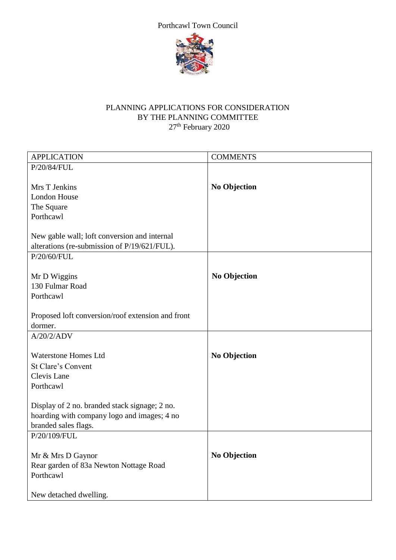



## PLANNING APPLICATIONS FOR CONSIDERATION BY THE PLANNING COMMITTEE 27<sup>th</sup> February 2020

| <b>APPLICATION</b>                                | <b>COMMENTS</b>     |
|---------------------------------------------------|---------------------|
| P/20/84/FUL                                       |                     |
|                                                   |                     |
| Mrs T Jenkins                                     | <b>No Objection</b> |
| <b>London House</b>                               |                     |
| The Square                                        |                     |
| Porthcawl                                         |                     |
|                                                   |                     |
| New gable wall; loft conversion and internal      |                     |
| alterations (re-submission of P/19/621/FUL).      |                     |
| P/20/60/FUL                                       |                     |
|                                                   |                     |
| Mr D Wiggins<br>130 Fulmar Road                   | <b>No Objection</b> |
| Porthcawl                                         |                     |
|                                                   |                     |
| Proposed loft conversion/roof extension and front |                     |
| dormer.                                           |                     |
| A/20/2/ADV                                        |                     |
|                                                   |                     |
| <b>Waterstone Homes Ltd</b>                       | <b>No Objection</b> |
| <b>St Clare's Convent</b>                         |                     |
| Clevis Lane                                       |                     |
| Porthcawl                                         |                     |
|                                                   |                     |
| Display of 2 no. branded stack signage; 2 no.     |                     |
| hoarding with company logo and images; 4 no       |                     |
| branded sales flags.                              |                     |
| P/20/109/FUL                                      |                     |
|                                                   |                     |
| Mr & Mrs D Gaynor                                 | <b>No Objection</b> |
| Rear garden of 83a Newton Nottage Road            |                     |
| Porthcawl                                         |                     |
|                                                   |                     |
| New detached dwelling.                            |                     |